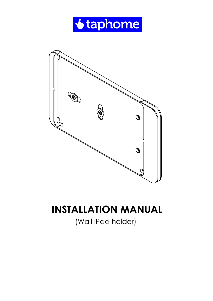



## **INSTALLATION MANUAL**

(Wall iPad holder)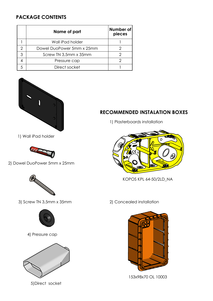## **PACKAGE CONTENTS**

|   | Name of part              | Number of<br>pieces |
|---|---------------------------|---------------------|
|   | Wall iPad holder          |                     |
|   | Dowel DuoPower 5mm x 25mm |                     |
| 3 | Screw TN 3,5mm x 35mm     |                     |
|   | Pressure cap              |                     |
|   | Direct socket             |                     |



1) Wall iPad holder



2) Dowel DuoPower 5mm x 25mm



3) Screw TN 3,5mm x 35mm



4) Pressure cap



5)Direct socket

## **RECOMMENDED INSTALATION BOXES**

1) Plasterboards installation



KOPOS KPL 64-50/2LD\_NA

2) Concealed installation



153x98x70 OL 10003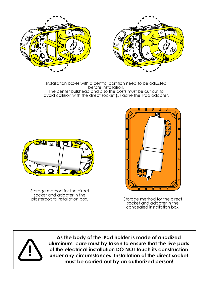

Installation boxes with a central partition need to be adjusted before installation. The center bulkhead and also the posts must be cut out to avoid collision with the direct socket (5) adne the iPad adapter.



Storage method for the direct socket and adapter in the<br>plasterboard installation box.



Storage method for the direct socket and adapter in the concealed installation box.



**As the body of the iPad holder is made of anodized aluminum, care must by taken to ensure that the live parts of the electrical installation DO NOT touch its construction under any circumstances. Installation of the direct socket must be carried out by an authorized person!**